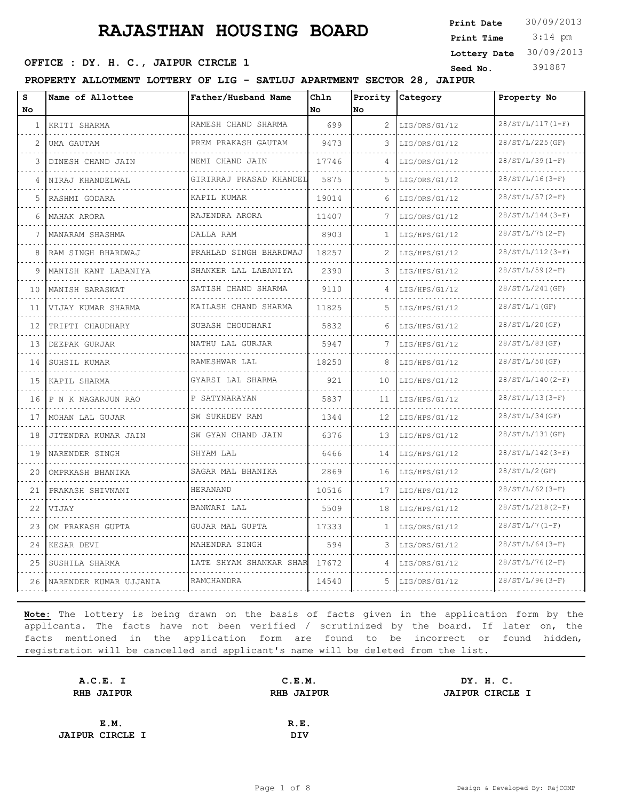3:14 pm **Print Date**  $30/09/2013$ **Print Time Lottery Date** 30/09/2013

#### **SEED OFFICE : DY. H. C., JAIPUR CIRCLE 1** Seed No. 391887

**PROPERTY ALLOTMENT LOTTERY OF LIG - SATLUJ APARTMENT SECTOR 28, JAIPUR**

| s<br>No      | Name of Allottee       | Father/Husband Name           | Chln<br>No. | <b>No</b>             | Prority Category | Property No        |
|--------------|------------------------|-------------------------------|-------------|-----------------------|------------------|--------------------|
| $\mathbf{1}$ | KRITI SHARMA           | RAMESH CHAND SHARMA           | 699         | $\mathbf{2}^{\prime}$ | LIG/ORS/G1/12    | $28/ST/L/117(1-F)$ |
| 2            | UMA GAUTAM             | PREM PRAKASH GAUTAM           | 9473        | 3.                    | LIG/ORS/G1/12    | 28/ST/L/225(GF)    |
| 3            | DINESH CHAND JAIN      | NEMI CHAND JAIN               | 17746       | 4                     | LIG/ORS/G1/12    | $28/ST/L/39(1-F)$  |
| 4            | NIRAJ KHANDELWAL       | GIRIRRAJ PRASAD KHANDEL       | 5875        | 5.                    | LIG/ORS/G1/12    | $28/ST/L/16(3-F)$  |
| 5.           | RASHMI GODARA          | KAPIL KUMAR                   | 19014       | 6                     | LIG/ORS/G1/12    | $28/ST/L/57(2-F)$  |
| 6            | MAHAK ARORA            | RAJENDRA ARORA                | 11407       | 7                     | LIG/ORS/G1/12    | $28/ST/L/144(3-F)$ |
| 7            | MANARAM SHASHMA        | DALLA RAM                     | 8903        | 1                     | LIG/HPS/G1/12    | $28/ST/L/75 (2-F)$ |
| 8            | RAM SINGH BHARDWAJ     | PRAHLAD SINGH BHARDWAJ        | 18257       | 2                     | LIG/HPS/G1/12    | $28/ST/L/112(3-F)$ |
| 9            | MANISH KANT LABANIYA   | SHANKER LAL LABANIYA<br>.     | 2390        | 3                     | LIG/HPS/G1/12    | $28/ST/L/59(2-F)$  |
| 10           | MANISH SARASWAT        | SATISH CHAND SHARMA           | 9110        | $\Delta$              | LIG/HPS/G1/12    | 28/ST/L/241(GF)    |
| 11           | VIJAY KUMAR SHARMA     | KAILASH CHAND SHARMA          | 11825       | .5.                   | LIG/HPS/G1/12    | 28/ST/L/1(GF)      |
| 12           | TRIPTI CHAUDHARY       | SUBASH CHOUDHARI              | 5832        | 6                     | LIG/HPS/G1/12    | $28/ST/L/20$ (GF)  |
| 13           | DEEPAK GURJAR          | NATHU LAL GURJAR              | 5947        |                       | LIG/HPS/G1/12    | $28/ST/L/83$ (GF)  |
| 14           | SUHSIL KUMAR           | RAMESHWAR LAL                 | 18250       | 8                     | LIG/HPS/G1/12    | $28/ST/L/50$ (GF)  |
| 15           | KAPIL SHARMA           | GYARSI LAL SHARMA<br><u>.</u> | 921         | 10                    | LIG/HPS/G1/12    | $28/ST/L/140(2-F)$ |
| 16           | P N K NAGARJUN RAO     | P SATYNARAYAN                 | 5837        | 11                    | LIG/HPS/G1/12    | $28/ST/L/13(3-F)$  |
| 17           | MOHAN LAL GUJAR        | SW SUKHDEV RAM                | 1344        | 12                    | LIG/HPS/G1/12    | 28/ST/L/34(GF)     |
| 18           | JITENDRA KUMAR JAIN    | SW GYAN CHAND JAIN            | 6376        | 13                    | LIG/HPS/G1/12    | 28/ST/L/131(GF)    |
| 19           | NARENDER SINGH         | SHYAM LAL                     | 6466        | 14                    | LIG/HPS/G1/12    | $28/ST/L/142(3-F)$ |
| 20           | OMPRKASH BHANIKA       | SAGAR MAL BHANIKA             | 2869        | 16                    | LIG/HPS/G1/12    | 28/ST/L/2(GF)      |
| 21           | PRAKASH SHIVNANI       | <b>HERANAND</b>               | 10516       | 17                    | LIG/HPS/G1/12    | $28/ST/L/62(3-F)$  |
| 22           | VIJAY                  | BANWARI LAL                   | 5509        | 18                    | LIG/HPS/G1/12    | $28/ST/L/218(2-F)$ |
| 23           | OM PRAKASH GUPTA       | GUJAR MAL GUPTA               | 17333       | 1.                    | LIG/ORS/G1/12    | $28/ST/L/7 (1-F)$  |
| 24           | KESAR DEVI             | MAHENDRA SINGH                | 594         | 3.                    | LIG/ORS/G1/12    | $28/ST/L/64 (3-F)$ |
| 25           | SUSHILA SHARMA         | LATE SHYAM SHANKAR SHAR       | 17672       | $\overline{4}$        | LIG/ORS/G1/12    | $28/ST/L/76(2-F)$  |
| 26           | NARENDER KUMAR UJJANIA | RAMCHANDRA                    | 14540       | 5                     | LIG/ORS/G1/12    | $28/ST/L/96(3-F)$  |

| A.C.E. I               | C.E.M.            | DY. H. C.              |
|------------------------|-------------------|------------------------|
| <b>RHB JAIPUR</b>      | <b>RHB JAIPUR</b> | <b>JAIPUR CIRCLE I</b> |
|                        |                   |                        |
| E.M.                   | R.E.              |                        |
| <b>JAIPUR CIRCLE I</b> | <b>DIV</b>        |                        |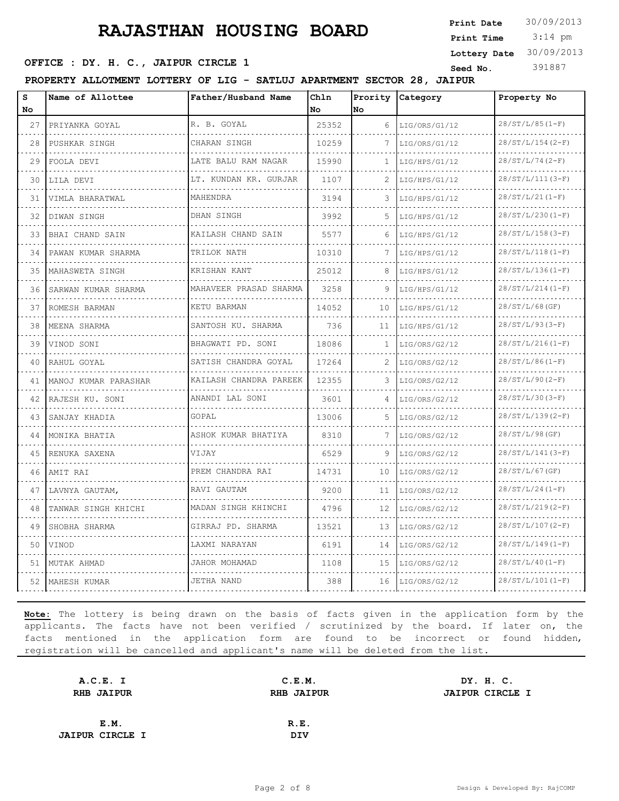3:14 pm **Print Date**  $30/09/2013$ **Print Time Lottery Date** 30/09/2013

#### **SEED OFFICE : DY. H. C., JAIPUR CIRCLE 1** Seed No. 391887

**PROPERTY ALLOTMENT LOTTERY OF LIG - SATLUJ APARTMENT SECTOR 28, JAIPUR**

| s<br><b>No</b> | Name of Allottee     | Father/Husband Name    | Chln<br>No. | No.             | Prority Category   | Property No        |
|----------------|----------------------|------------------------|-------------|-----------------|--------------------|--------------------|
| 27             | PRIYANKA GOYAL       | R. B. GOYAL            | 25352       | 6               | LIG/ORS/G1/12      | $28/ST/L/85 (1-F)$ |
| 28             | .<br>PUSHKAR SINGH   | CHARAN SINGH           | 10259       | 7               | .<br>LIG/ORS/G1/12 | $28/ST/L/154(2-F)$ |
| 29             | FOOLA DEVI           | LATE BALU RAM NAGAR    | 15990       | $\mathbf{1}$    | LIG/HPS/G1/12      | 28/ST/L/74(2-F)    |
| 30             | LILA DEVI            | LT. KUNDAN KR. GURJAR  | 1107        | 2               | LIG/HPS/G1/12      | $28/ST/L/111(3-F)$ |
| 31             | VIMLA BHARATWAL      | MAHENDRA               | 3194        | 3.              | LIG/HPS/G1/12      | $28/ST/L/21(I-F)$  |
| 32             | DIWAN SINGH          | DHAN SINGH             | 3992        | 5               | LIG/HPS/G1/12      | $28/ST/L/230(I-F)$ |
| 33             | BHAI CHAND SAIN      | KAILASH CHAND SAIN     | 5577        | 6               | LIG/HPS/G1/12      | $28/ST/L/158(3-F)$ |
| 34             | PAWAN KUMAR SHARMA   | TRILOK NATH            | 10310       |                 | LIG/HPS/G1/12      | $28/ST/L/118(I-F)$ |
| 35             | MAHASWETA SINGH      | KRISHAN KANT           | 25012       | 8               | LIG/HPS/G1/12      | $28/ST/L/136(I-F)$ |
| 36             | SARWAN KUMAR SHARMA  | MAHAVEER PRASAD SHARMA | 3258        | 9               | LIG/HPS/G1/12      | $28/ST/L/214(I-F)$ |
| 37             | ROMESH BARMAN        | KETU BARMAN            | 14052       | 10 <sup>°</sup> | LIG/HPS/G1/12      | $28/ST/L/68$ (GF)  |
| 38             | MEENA SHARMA         | SANTOSH KU. SHARMA     | 736         | 11              | LIG/HPS/G1/12      | $28/ST/L/93(3-F)$  |
| 39             | VINOD SONI           | BHAGWATI PD. SONI      | 18086       | 1               | LIG/ORS/G2/12      | $28/ST/L/216(I-F)$ |
| 40             | RAHUL GOYAL          | SATISH CHANDRA GOYAL   | 17264       | 2               | LIG/ORS/G2/12      | $28/ST/L/86(1-F)$  |
| 41             | MANOJ KUMAR PARASHAR | KAILASH CHANDRA PAREEK | 12355       | 3               | LIG/ORS/G2/12      | $28/ST/L/90(2-F)$  |
| 42             | RAJESH KU. SONI      | ANANDI LAL SONI        | 3601        | 4               | LIG/ORS/G2/12      | $28/ST/L/30(3-F)$  |
| 43             | SANJAY KHADIA        | GOPAL                  | 13006       | 5.              | LIG/ORS/G2/12      | $28/ST/L/139(2-F)$ |
| 44             | MONIKA BHATIA        | ASHOK KUMAR BHATIYA    | 8310        | 7               | LIG/ORS/G2/12      | 28/ST/L/98(GF)     |
| 45             | RENUKA SAXENA        | VIJAY                  | 6529        | 9               | LIG/ORS/G2/12      | $28/ST/L/141(3-F)$ |
| 46             | AMIT RAI             | PREM CHANDRA RAI       | 14731       | 10              | LIG/ORS/G2/12      | $28/ST/L/67$ (GF)  |
| 47             | LAVNYA GAUTAM,       | RAVI GAUTAM            | 9200        | 11              | LIG/ORS/G2/12      | $28/ST/L/24(1-F)$  |
| 48             | TANWAR SINGH KHICHI  | MADAN SINGH KHINCHI    | 4796        | 12              | LIG/ORS/G2/12      | $28/ST/L/219(2-F)$ |
| 49             | SHOBHA SHARMA        | GIRRAJ PD. SHARMA      | 13521       | 13              | LIG/ORS/G2/12      | $28/ST/L/107(2-F)$ |
| 50             | VINOD                | LAXMI NARAYAN          | 6191        | 14              | LIG/ORS/G2/12      | $28/ST/L/149(I-F)$ |
| 51             | MUTAK AHMAD          | JAHOR MOHAMAD          | 1108        | 15              | LIG/ORS/G2/12      | $28/ST/L/40(I-F)$  |
| 52             | MAHESH KUMAR         | JETHA NAND             | 388         | 16              | LIG/ORS/G2/12      | $28/ST/L/101(I-F)$ |

| A.C.E. I               | C.E.M.            | DY. H. C.              |
|------------------------|-------------------|------------------------|
| <b>RHB JAIPUR</b>      | <b>RHB JAIPUR</b> | <b>JAIPUR CIRCLE I</b> |
|                        |                   |                        |
| E.M.                   | R.E.              |                        |
| <b>JAIPUR CIRCLE I</b> | <b>DIV</b>        |                        |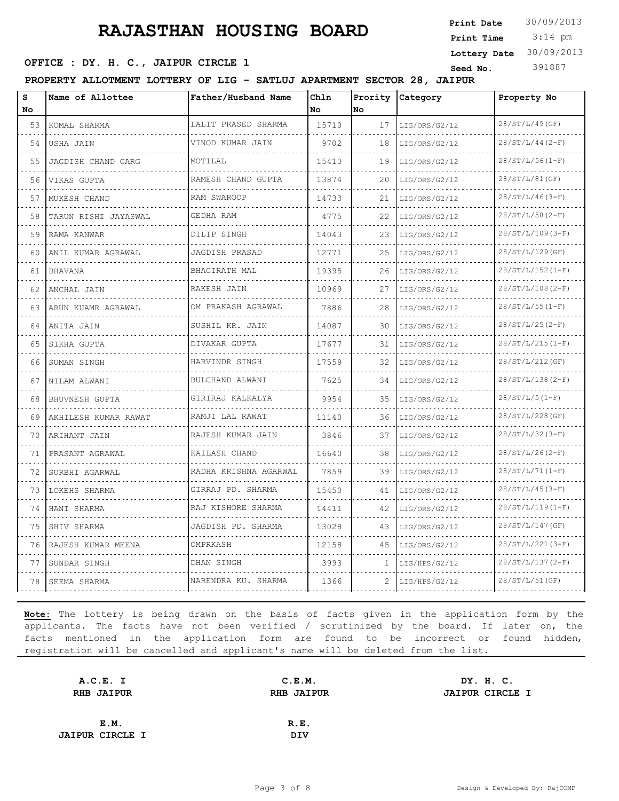3:14 pm **Print Date**  $30/09/2013$ **Print Time Lottery Date** 30/09/2013

#### **SEED OFFICE : DY. H. C., JAIPUR CIRCLE 1** Seed No. 391887

**PROPERTY ALLOTMENT LOTTERY OF LIG - SATLUJ APARTMENT SECTOR 28, JAIPUR**

| S<br>No. | Name of Allottee     | Father/Husband Name                      | Chln<br>No | Prority<br><b>No</b> | Category           | Property No        |
|----------|----------------------|------------------------------------------|------------|----------------------|--------------------|--------------------|
| 53       | KOMAL SHARMA         | LALIT PRASED SHARMA                      | 15710      | 17                   | LIG/ORS/G2/12      | 28/ST/L/49(GF)     |
| 54       | USHA JAIN            | VINOD KUMAR JAIN                         | 9702       | 18                   | .<br>LIG/ORS/G2/12 | $28/ST/L/44 (2-F)$ |
| 55       | JAGDISH CHAND GARG   | MOTTLAL                                  | 15413      | 19                   | LIG/ORS/G2/12      | $28/ST/L/56(I-F)$  |
| 56       | VIKAS GUPTA          | RAMESH CHAND GUPTA                       | 13874      | 20                   | LIG/ORS/G2/12      | 28/ST/L/81(GF)     |
| 57       | MUKESH CHAND         | .<br>RAM SWAROOP                         | 14733      | 21                   | LIG/ORS/G2/12      | $28/ST/L/46(3-F)$  |
| 58       | TARUN RISHI JAYASWAL | GEDHA RAM                                | 4775       | 22                   | LIG/ORS/G2/12      | $28/ST/L/58(2-F)$  |
| 59       | RAMA KANWAR          | DILIP SINGH                              | 14043      | 23                   | LIG/ORS/G2/12      | $28/ST/L/109(3-F)$ |
| 60       | ANIL KUMAR AGRAWAL   | JAGDISH PRASAD                           | 12771      | 25                   | LIG/ORS/G2/12      | 28/ST/L/129(GF)    |
| 61       | <b>BHAVANA</b>       | BHAGIRATH MAL                            | 19395      | 26                   | LIG/ORS/G2/12      | $28/ST/L/152(1-F)$ |
| 62       | ANCHAL JAIN          | RAKESH JAIN                              | 10969      | 27                   | LIG/ORS/G2/12      | $28/ST/L/108(2-F)$ |
| 63       | ARUN KUAMR AGRAWAL   | OM PRAKASH AGRAWAL                       | 7886       | 28                   | LIG/ORS/G2/12      | $28/ST/L/55(I-F)$  |
| 64       | ANITA JAIN           | SUSHIL KR. JAIN                          | 14087      | 30                   | LIG/ORS/G2/12      | $28/ST/L/25(2-F)$  |
| 65       | SIKHA GUPTA          | a dia a dia a dia a dia<br>DIVAKAR GUPTA | 17677      | 31                   | LIG/ORS/G2/12      | $28/ST/L/215(I-F)$ |
| 66       | SUMAN SINGH          | HARVINDR SINGH                           | 17559      | 32                   | LIG/ORS/G2/12      | 28/ST/L/212(GF)    |
| 67       | NILAM ALWANI         | BULCHAND ALWANI                          | 7625       | 34                   | LIG/ORS/G2/12      | $28/ST/L/138(2-F)$ |
| 68       | BHUVNESH GUPTA       | .<br>GIRIRAJ KALKALYA                    | 9954       | 35                   | LIG/ORS/G2/12      | $28/ST/L/5(1-F)$   |
| 69       | AKHILESH KUMAR RAWAT | RAMJI LAL RAWAT                          | 11140      | 36                   | LIG/ORS/G2/12      | 28/ST/L/228(GF)    |
| 70       | ARIHANT JAIN         | RAJESH KUMAR JAIN                        | 3846       | 37                   | LIG/ORS/G2/12      | $28/ST/L/32 (3-F)$ |
| 71       | PRASANT AGRAWAL      | KAILASH CHAND                            | 16640      | 38                   | LIG/ORS/G2/12      | $28/ST/L/26(2-F)$  |
| 72       | SURBHI AGARWAL       | RADHA KRISHNA AGARWAL                    | 7859       | 39                   | LIG/ORS/G2/12      | $28/ST/L/71(I-F)$  |
| 73       | LOKEHS SHARMA        | GIRRAJ PD. SHARMA                        | 15450      | 41                   | LIG/ORS/G2/12      | $28/ST/L/45(3-F)$  |
| 74       | HANI SHARMA          | .<br>RAJ KISHORE SHARMA                  | 14411      | 42.                  | LIG/ORS/G2/12      | $28/ST/L/119(1-F)$ |
| 75       | SHIV SHARMA          | JAGDISH PD. SHARMA                       | 13028      | 43                   | LIG/ORS/G2/12      | 28/ST/L/147(GF)    |
| 76       | RAJESH KUMAR MEENA   | OMPRKASH                                 | 12158      | 45                   | LIG/ORS/G2/12      | $28/ST/L/221(3-F)$ |
| 77       | SUNDAR SINGH         | DHAN SINGH                               | 3993       | 1                    | LIG/HPS/G2/12      | $28/ST/L/137(2-F)$ |
| 78       | SEEMA SHARMA         | NARENDRA KU. SHARMA                      | 1366       | 2                    | LIG/HPS/G2/12      | $28/ST/L/51$ (GF)  |

| A.C.E. I               | C.E.M.                                      | DY. H. C. |  |
|------------------------|---------------------------------------------|-----------|--|
| <b>RHB JAIPUR</b>      | <b>RHB JAIPUR</b><br><b>JAIPUR CIRCLE I</b> |           |  |
|                        |                                             |           |  |
| E.M.                   | R.E.                                        |           |  |
| <b>JAIPUR CIRCLE I</b> | DIV                                         |           |  |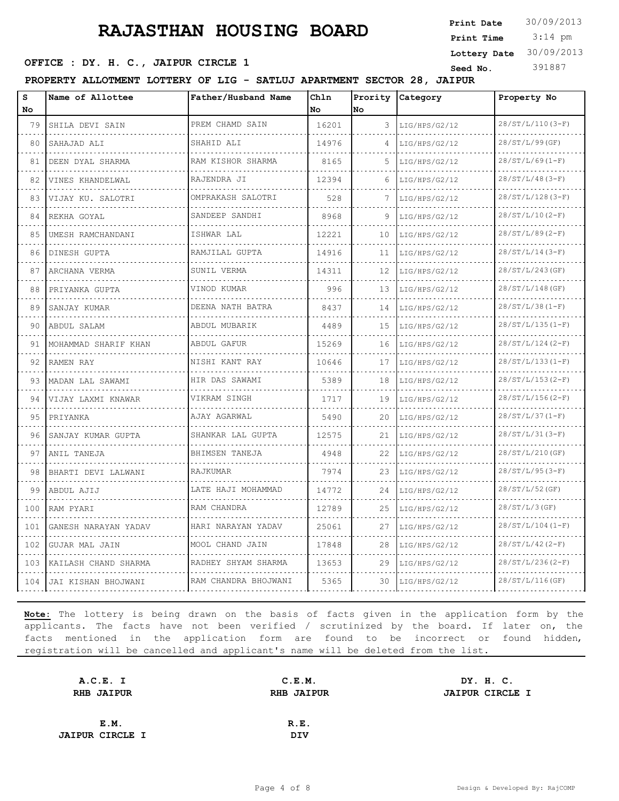3:14 pm **Print Date**  $30/09/2013$ **Print Time Lottery Date** 30/09/2013

#### **SEED OFFICE : DY. H. C., JAIPUR CIRCLE 1** Seed No. 391887

**PROPERTY ALLOTMENT LOTTERY OF LIG - SATLUJ APARTMENT SECTOR 28, JAIPUR**

| s<br>No | Name of Allottee      | Father/Husband Name                | Chln<br>No | Prority<br>No | Category           | Property No<br>$28/ST/L/110(3-F)$          |  |
|---------|-----------------------|------------------------------------|------------|---------------|--------------------|--------------------------------------------|--|
| 79<br>. | SHILA DEVI SAIN       | PREM CHAMD SAIN                    | 16201      | 3             | LIG/HPS/G2/12      |                                            |  |
| 80      | SAHAJAD ALI           | SHAHID ALI                         | 14976      | 4             | LIG/HPS/G2/12      | <u>o dio dio dio dio</u><br>28/ST/L/99(GF) |  |
| 81      | DEEN DYAL SHARMA      | RAM KISHOR SHARMA                  | 8165       | 5             | LIG/HPS/G2/12      | $28/ST/L/69(1-F)$                          |  |
| 82      | VINES KHANDELWAL<br>. | RAJENDRA JI<br>dia dia dia dia dia | 12394      | 6             | LIG/HPS/G2/12<br>. | $28/ST/L/48(3-F)$                          |  |
| 83      | VIJAY KU. SALOTRI     | OMPRAKASH SALOTRI                  | 528        | 7             | LIG/HPS/G2/12      | $28/ST/L/128(3-F)$                         |  |
| 84      | REKHA GOYAL           | SANDEEP SANDHI                     | 8968       | 9             | LIG/HPS/G2/12      | $28/ST/L/10(2-F)$                          |  |
| 85      | UMESH RAMCHANDANI     | ISHWAR LAL                         | 12221      | 10            | LIG/HPS/G2/12      | $28/ST/L/89(2-F)$                          |  |
| 86      | DINESH GUPTA          | RAMJILAL GUPTA                     | 14916      | 11            | LIG/HPS/G2/12      | $28/ST/L/14(3-F)$                          |  |
| 87      | ARCHANA VERMA         | SUNIL VERMA                        | 14311      | 12            | LIG/HPS/G2/12      | 28/ST/L/243(GF)                            |  |
| 88      | PRIYANKA GUPTA        | VINOD KUMAR                        | 996        | 13            | LIG/HPS/G2/12      | 28/ST/L/148(GF)                            |  |
| 89      | SANJAY KUMAR          | DEENA NATH BATRA                   | 8437       | 14            | LIG/HPS/G2/12      | $28/ST/L/38 (1-F)$                         |  |
| 90      | ABDUL SALAM           | ABDUL MUBARIK                      | 4489       | 15            | LIG/HPS/G2/12      | $28/ST/L/135(I-F)$                         |  |
| 91      | MOHAMMAD SHARIF KHAN  | ABDUL GAFUR                        | 15269      | 16            | LIG/HPS/G2/12      | $28/ST/L/124(2-F)$                         |  |
| 92      | RAMEN RAY             | NISHI KANT RAY                     | 10646      | 17            | LIG/HPS/G2/12      | $28/ST/L/133(I-F)$                         |  |
| 93      | MADAN LAL SAWAMI      | HIR DAS SAWAMI                     | 5389       | 18            | LIG/HPS/G2/12      | $28/ST/L/153(2-F)$                         |  |
| 94      | VIJAY LAXMI KNAWAR    | VIKRAM SINGH                       | 1717       | 19            | LIG/HPS/G2/12      | $28/ST/L/156(2-F)$                         |  |
| 95      | PRIYANKA              | AJAY AGARWAL                       | 5490       | 20            | LIG/HPS/G2/12      | $28/ST/L/37 (1-F)$                         |  |
| 96      | SANJAY KUMAR GUPTA    | SHANKAR LAL GUPTA                  | 12575      | 21            | LIG/HPS/G2/12      | $28/ST/L/31(3-F)$                          |  |
| 97      | ANIL TANEJA           | BHIMSEN TANEJA                     | 4948       | 22            | LIG/HPS/G2/12      | 28/ST/L/210(GF)                            |  |
| 98      | BHARTI DEVI LALWANI   | RAJKUMAR                           | 7974       | 23            | LIG/HPS/G2/12      | $28/ST/L/95 (3-F)$                         |  |
| 99      | ABDUL AJIJ            | LATE HAJI MOHAMMAD                 | 14772      | 24            | LIG/HPS/G2/12      | $28/ST/L/52$ (GF)                          |  |
| 100     | RAM PYARI             | RAM CHANDRA                        | 12789      | 25            | LIG/HPS/G2/12      | $28/ST/L/3$ (GF)                           |  |
| 101     | GANESH NARAYAN YADAV  | HARI NARAYAN YADAV                 | 25061      | 27            | LIG/HPS/G2/12      | $28/ST/L/104(I-F)$                         |  |
| 102     | GUJAR MAL JAIN        | MOOL CHAND JAIN                    | 17848      | 28            | LIG/HPS/G2/12      | $28/ST/L/42(2-F)$                          |  |
| 103     | KAILASH CHAND SHARMA  | RADHEY SHYAM SHARMA                | 13653      | 29            | LIG/HPS/G2/12      | $28/ST/L/236(2-F)$                         |  |
| 104     | JAI KISHAN BHOJWANI   | RAM CHANDRA BHOJWANI               | 5365       | 30            | LIG/HPS/G2/12      | $28/ST/L/116$ (GF)                         |  |

| A.C.E. I               | C.E.M.            | DY. H. C.              |
|------------------------|-------------------|------------------------|
| <b>RHB JAIPUR</b>      | <b>RHB JAIPUR</b> | <b>JAIPUR CIRCLE I</b> |
|                        |                   |                        |
| E.M.                   | R.E.              |                        |
| <b>JAIPUR CIRCLE I</b> | <b>DIV</b>        |                        |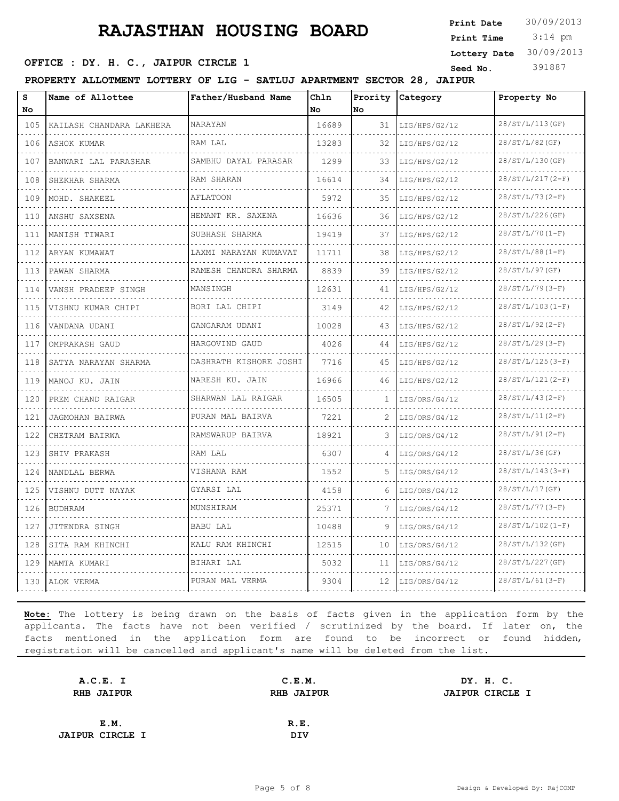**SEED OFFICE : DY. H. C., JAIPUR CIRCLE 1** Seed No. 391887

**PROPERTY ALLOTMENT LOTTERY OF LIG - SATLUJ APARTMENT SECTOR 28, JAIPUR**

| S<br>No                            | Name of Allottee         | Father/Husband Name    | Chln<br>No | No | Prority Category | Property No        |  |
|------------------------------------|--------------------------|------------------------|------------|----|------------------|--------------------|--|
| 105                                | KAILASH CHANDARA LAKHERA | NARAYAN                | 16689      | 31 | LIG/HPS/G2/12    | 28/ST/L/113(GF)    |  |
| 106                                | ASHOK KUMAR              | RAM LAL                | 13283      | 32 | LIG/HPS/G2/12    | 28/ST/L/82(GF)     |  |
| .<br>107                           | BANWARI LAL PARASHAR     | SAMBHU DAYAL PARASAR   | 1299       | 33 | LIG/HPS/G2/12    | 28/ST/L/130(GF)    |  |
| $\sim$ $\sim$ $\sim$<br>108        | SHEKHAR SHARMA           | RAM SHARAN             | 16614      | 34 | LIG/HPS/G2/12    | $28/ST/L/217(2-F)$ |  |
| .<br>109                           | MOHD. SHAKEEL            | <b>AFLATOON</b>        | 5972       | 35 | LIG/HPS/G2/12    | $28/ST/L/73(2-F)$  |  |
| 110                                | ANSHU SAXSENA            | HEMANT KR. SAXENA      | 16636      | 36 | LIG/HPS/G2/12    | 28/ST/L/226(GF)    |  |
| د د د د<br>111                     | MANISH TIWARI            | SUBHASH SHARMA         | 19419      | 37 | LIG/HPS/G2/12    | $28/ST/L/70(I-F)$  |  |
| 112                                | ARYAN KUMAWAT            | LAXMI NARAYAN KUMAVAT  | 11711      | 38 | LIG/HPS/G2/12    | $28/ST/L/88 (1-F)$ |  |
| 113                                | PAWAN SHARMA             | RAMESH CHANDRA SHARMA  | 8839       | 39 | LIG/HPS/G2/12    | 28/ST/L/97(GF)     |  |
| 114                                | VANSH PRADEEP SINGH      | MANSINGH               | 12631      | 41 | LIG/HPS/G2/12    | $28/ST/L/79(3-F)$  |  |
| 115                                | VISHNU KUMAR CHIPI       | BORI LAL CHIPI         | 3149       | 42 | LIG/HPS/G2/12    | $28/ST/L/103(I-F)$ |  |
| 116                                | VANDANA UDANI            | GANGARAM UDANI         | 10028      | 43 | LIG/HPS/G2/12    | $28/ST/L/92(2-F)$  |  |
| $\sim$ $\sim$ $\sim$ $\sim$<br>117 | OMPRAKASH GAUD           | HARGOVIND GAUD         | 4026       | 44 | LIG/HPS/G2/12    | $28/ST/L/29(3-F)$  |  |
| 118                                | SATYA NARAYAN SHARMA     | DASHRATH KISHORE JOSHI | 7716       | 45 | LIG/HPS/G2/12    | $28/ST/L/125(3-F)$ |  |
| 119<br>$\sim$ $\sim$ $\sim$ $\sim$ | MANOJ KU. JAIN           | NARESH KU. JAIN        | 16966      | 46 | LIG/HPS/G2/12    | $28/ST/L/121(2-F)$ |  |
| 120                                | PREM CHAND RAIGAR        | SHARWAN LAL RAIGAR     | 16505      | 1. | LIG/ORS/G4/12    | $28/ST/L/43(2-F)$  |  |
| 121                                | JAGMOHAN BAIRWA          | PURAN MAL BAIRVA       | 7221       | 2  | LIG/ORS/G4/12    | $28/ST/L/11(2-F)$  |  |
| 122                                | CHETRAM BAIRWA           | RAMSWARUP BAIRVA       | 18921      | 3  | LIG/ORS/G4/12    | $28/ST/L/91(2-F)$  |  |
| 123<br>$\sim$ $\sim$ $\sim$        | SHIV PRAKASH             | RAM LAL                | 6307       |    | LIG/ORS/G4/12    | 28/ST/L/36(GF)     |  |
| 124<br>a a a                       | NANDLAL BERWA            | VISHANA RAM            | 1552       | .5 | LIG/ORS/G4/12    | $28/ST/L/143(3-F)$ |  |
| 125                                | VISHNU DUTT NAYAK        | GYARSI LAL             | 4158       | 6  | LIG/ORS/G4/12    | 28/ST/L/17(GF)     |  |
| 126<br>.                           | <b>BUDHRAM</b>           | MUNSHIRAM              | 25371      | 7  | LIG/ORS/G4/12    | $28/ST/L/77(3-F)$  |  |
| 127                                | JITENDRA SINGH           | BABU LAL               | 10488      | 9  | LIG/ORS/G4/12    | $28/ST/L/102(I-F)$ |  |
| 128                                | SITA RAM KHINCHI         | KALU RAM KHINCHI       | 12515      | 10 | LIG/ORS/G4/12    | 28/ST/L/132(GF)    |  |
| 129                                | MAMTA KUMARI             | BIHARI LAL             | 5032       | 11 | LIG/ORS/G4/12    | 28/ST/L/227(GF)    |  |
| 130                                | ALOK VERMA               | PURAN MAL VERMA        | 9304       | 12 | LIG/ORS/G4/12    | $28/ST/L/61(3-F)$  |  |

**Note:** The lottery is being drawn on the basis of facts given in the application form by the applicants. The facts have not been verified / scrutinized by the board. If later on, the facts mentioned in the application form are found to be incorrect or found hidden, registration will be cancelled and applicant's name will be deleted from the list.

| A.C.E. I               | C.E.M.            | DY. H. C.              |
|------------------------|-------------------|------------------------|
| <b>RHB JAIPUR</b>      | <b>RHB JAIPUR</b> | <b>JAIPUR CIRCLE I</b> |
|                        |                   |                        |
| E.M.                   | R.E.              |                        |
| <b>JAIPUR CIRCLE I</b> | <b>DIV</b>        |                        |

 3:14 pm **Print Date**  $30/09/2013$ **Print Time Lottery Date** 30/09/2013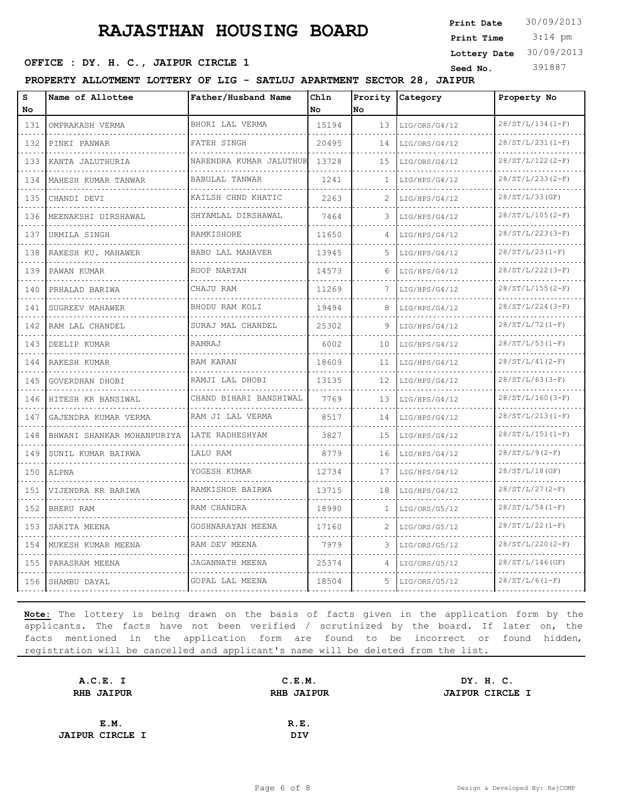3:14 pm **Print Date**  $30/09/2013$ **Print Time Lottery Date** 30/09/2013

#### **SEED OFFICE : DY. H. C., JAIPUR CIRCLE 1** Seed No. 391887

**PROPERTY ALLOTMENT LOTTERY OF LIG - SATLUJ APARTMENT SECTOR 28, JAIPUR**

| S<br>No                   | Name of Allottee           | Father/Husband Name     | Chln<br>No | Prority<br>No | Category      | Property No             |
|---------------------------|----------------------------|-------------------------|------------|---------------|---------------|-------------------------|
| 131                       | OMPRAKASH VERMA            | BHORI LAL VERMA         | 15194      | 13            | LIG/ORS/G4/12 | $28/ST/L/134(I-F)$      |
| .<br>132                  | PINKI PANWAR               | FATEH SINGH             | 20495      | 14            | LIG/ORS/G4/12 | .<br>$28/ST/L/231(I-F)$ |
| 133                       | KANTA JALUTHURIA           | NARENDRA KUMAR JALUTHUR | 13728      | 15            | LIG/ORS/G4/12 | $28/ST/L/122(2-F)$      |
| 134                       | MAHESH KUMAR TANWAR        | BABULAL TANWAR          | 1241       | Т.            | LIG/HPS/G4/12 | $28/ST/L/233(2-F)$      |
| 135                       | CHANDI DEVI                | KAILSH CHND KHATIC      | 2263       | 2             | LIG/HPS/G4/12 | 28/ST/L/33(GF)          |
| 136                       | MEENAKSHI DIRSHAWAL        | SHYAMLAL DIRSHAWAL      | 7464       | 3             | LIG/HPS/G4/12 | $28/ST/L/105(2-F)$      |
| 137                       | URMILA SINGH               | RAMKISHORE              | 11650      |               | LIG/HPS/G4/12 | $28/ST/L/223(3-F)$      |
| الدالات الدالية ال<br>138 | RAKESH KU. MAHAWER         | BABU LAL MAHAVER        | 13945      | 5.            | LIG/HPS/G4/12 | $28/ST/L/23 (1-F)$      |
| 139                       | PAWAN KUMAR                | ROOP NARYAN             | 14573      | 6             | LIG/HPS/G4/12 | $28/ST/L/222(3-F)$      |
| 140                       | PRHALAD BARIWA             | CHAJU RAM               | 11269      | 7             | LIG/HPS/G4/12 | $28/ST/L/155(2-F)$      |
| .<br>141                  | SUGREEV MAHAWER            | BHODU RAM KOLI          | 19494      |               | LIG/HPS/G4/12 | $28/ST/L/224(3-F)$      |
| 142                       | RAM LAL CHANDEL            | SURAJ MAL CHANDEL       | 25302      | 9             | LIG/HPS/G4/12 | $28/ST/L/72(1-F)$       |
| 143                       | DEELIP KUMAR               | RAMRAJ                  | 6002       | 10            | LIG/HPS/G4/12 | $28/ST/L/53(I-F)$       |
| .<br>144                  | RAKESH KUMAR               | RAM KARAN               | 18609      | 11            | LIG/HPS/G4/12 | $28/ST/L/41(2-F)$       |
| 145                       | GOVERDHAN DHOBI            | RAMJI LAL DHOBI         | 13135      | 12            | LIG/HPS/G4/12 | $28/ST/L/63(3-F)$       |
| 146                       | HITESH KR BANSIWAL         | CHAND BIHARI BANSHIWAL  | 7769       | 13            | LIG/HPS/G4/12 | $28/ST/L/160(3-F)$      |
| 147                       | GAJENDRA KUMAR VERMA       | RAM JI LAL VERMA        | 8517       | 14            | LIG/HPS/G4/12 | $28/ST/L/213(I-F)$      |
| 148                       | BHWANI SHANKAR MOHANPURIYA | LATE RADHESHYAM         | 3827       | 15            | LIG/HPS/G4/12 | $28/ST/L/151(I-F)$      |
| 149                       | SUNIL KUMAR BAIRWA         | LALU RAM                | 8779       | 16            | LIG/HPS/G4/12 | $28/ST/L/9(2-F)$        |
| 150                       | ALPNA                      | YOGESH KUMAR            | 12734      | 17            | LIG/HPS/G4/12 | $28/ST/L/18$ (GF)       |
| .<br>151                  | VIJENDRA KR BARIWA         | RAMKISHOR BAIRWA        | 13715      | 18            | LIG/HPS/G4/12 | $28/ST/L/27(2-F)$       |
| د د د د<br>152            | <b>BHERU RAM</b>           | RAM CHANDRA             | 18990      | 1             | LIG/ORS/G5/12 | $28/ST/L/54 (1-F)$      |
| 153                       | SARITA MEENA               | GOSHNARAYAN MEENA       | 17160      | 2             | LIG/ORS/G5/12 | $28/ST/L/22(1-F)$       |
| 154                       | MUKESH KUMAR MEENA         | RAM DEV MEENA           | 7979       | 3             | LIG/ORS/G5/12 | $28/ST/L/220(2-F)$      |
| 155                       | PARASRAM MEENA             | JAGANNATH MEENA         | 25374      | 4             | LIG/ORS/G5/12 | 28/ST/L/146(GF)         |
| 156                       | SHAMBU DAYAL               | GOPAL LAL MEENA         | 18504      | 5             | LIG/ORS/G5/12 | $28/ST/L/6(1-F)$        |

| A.C.E. I               | C.E.M.            | DY. H. C.              |
|------------------------|-------------------|------------------------|
| <b>RHB JAIPUR</b>      | <b>RHB JAIPUR</b> | <b>JAIPUR CIRCLE I</b> |
|                        |                   |                        |
| E.M.                   | R.E.              |                        |
| <b>JAIPUR CIRCLE I</b> | <b>DIV</b>        |                        |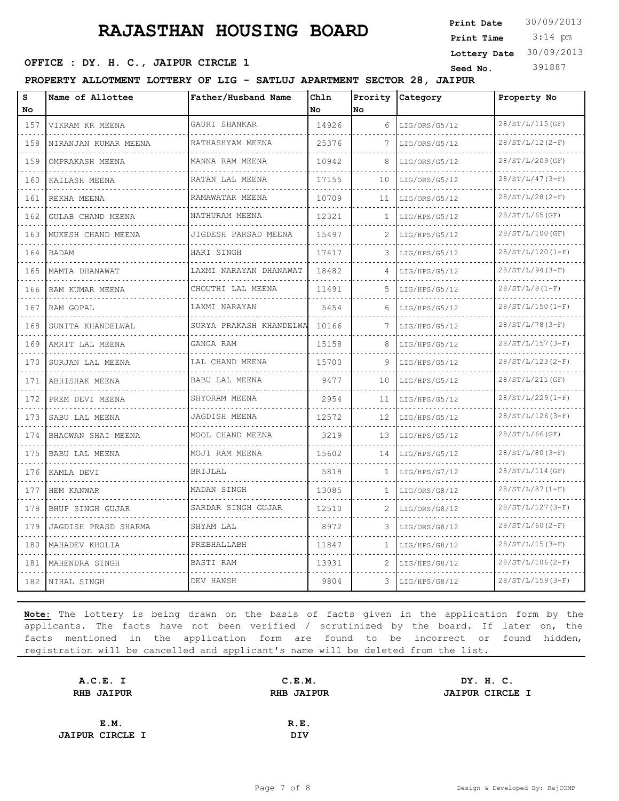3:14 pm **Print Date**  $30/09/2013$ **Print Time Lottery Date** 30/09/2013

#### **SEED OFFICE : DY. H. C., JAIPUR CIRCLE 1** Seed No. 391887

**PROPERTY ALLOTMENT LOTTERY OF LIG - SATLUJ APARTMENT SECTOR 28, JAIPUR**

| S<br>No                            | Name of Allottee     | Father/Husband Name          | Chln<br>No | Prority<br>No | Category      | Property No             |
|------------------------------------|----------------------|------------------------------|------------|---------------|---------------|-------------------------|
| 157                                | VIKRAM KR MEENA      | GAURI SHANKAR                | 14926      | 6             | LIG/ORS/G5/12 | 28/ST/L/115(GF)         |
| .<br>158                           | NIRANJAN KUMAR MEENA | <u>.</u><br>RATHASHYAM MEENA | 25376      |               | LIG/ORS/G5/12 | $28/ST/L/12(2-F)$       |
| 159                                | OMPRAKASH MEENA      | MANNA RAM MEENA              | 10942      | 8             | LIG/ORS/G5/12 | 28/ST/L/209(GF)         |
| .<br>160                           | KAILASH MEENA        | RATAN LAL MEENA              | 17155      | 10            | LIG/ORS/G5/12 | $28/ST/L/47(3-F)$       |
| .<br>161                           | REKHA MEENA          | .<br>RAMAWATAR MEENA         | 10709      | 11            | LIG/ORS/G5/12 | $28/ST/L/28 (2-F)$      |
| 162                                | GULAB CHAND MEENA    | NATHURAM MEENA               | 12321      | 1             | LIG/HPS/G5/12 | $28/ST/L/65$ (GF)       |
| 163                                | MUKESH CHAND MEENA   | JIGDESH PARSAD MEENA         | 15497      | 2             | LIG/HPS/G5/12 | 28/ST/L/100(GF)         |
| .<br>164                           | <b>BADAM</b>         | HARI SINGH                   | 17417      | 3             | LIG/HPS/G5/12 | .<br>$28/ST/L/120(I-F)$ |
| 165                                | MAMTA DHANAWAT       | LAXMI NARAYAN DHANAWAT       | 18482      |               | LIG/HPS/G5/12 | $28/ST/L/94(3-F)$       |
| 166                                | RAM KUMAR MEENA      | CHOUTHI LAL MEENA            | 11491      | 5.            | LIG/HPS/G5/12 | $28/ST/L/8(1-F)$        |
| .<br>167                           | RAM GOPAL            | LAXMI NARAYAN                | 5454       | 6             | LIG/HPS/G5/12 | $28/ST/L/150(I-F)$      |
| 168                                | SUNITA KHANDELWAL    | SURYA PRAKASH KHANDELWA      | 10166      | 7             | LIG/HPS/G5/12 | $28/ST/L/78 (3-F)$      |
| $\sim$ $\sim$ $\sim$ $\sim$<br>169 | AMRIT LAL MEENA      | GANGA RAM                    | 15158      | 8             | LIG/HPS/G5/12 | $28/ST/L/157(3-F)$      |
| 170<br>.                           | SURJAN LAL MEENA     | LAL CHAND MEENA              | 15700      | 9             | LIG/HPS/G5/12 | $28/ST/L/123(2-F)$      |
| 171                                | ABHISHAK MEENA       | BABU LAL MEENA               | 9477       | 10            | LIG/HPS/G5/12 | 28/ST/L/211(GF)         |
| .<br>172                           | PREM DEVI MEENA      | SHYORAM MEENA                | 2954       | 11            | LIG/HPS/G5/12 | $28/ST/L/229(1-F)$      |
| 173                                | SABU LAL MEENA       | JAGDISH MEENA                | 12572      | 12            | LIG/HPS/G5/12 | $28/ST/L/126(3-F)$      |
| .<br>174                           | BHAGWAN SHAI MEENA   | MOOL CHAND MEENA             | 3219       | 13            | LIG/HPS/G5/12 | $28/ST/L/66$ (GF)       |
| 175                                | BABU LAL MEENA       | MOJI RAM MEENA               | 15602      | 14            | LIG/HPS/G5/12 | $28/ST/L/80 (3-F)$      |
| 176                                | KAMLA DEVI           | BRIJLAL                      | 5818       | 1             | LIG/HPS/G7/12 | 28/ST/L/114(GF)         |
| 177                                | HEM KANWAR           | MADAN SINGH                  | 13085      | 1             | LIG/ORS/G8/12 | $28/ST/L/87 (1-F)$      |
| 178                                | BHUP SINGH GUJAR     | SARDAR SINGH GUJAR           | 12510      | 2             | LIG/ORS/G8/12 | $28/ST/L/127(3-F)$      |
| 179                                | JAGDISH PRASD SHARMA | SHYAM LAL                    | 8972       | 3             | LIG/ORS/G8/12 | $28/ST/L/60(2-F)$       |
| $- - - - -$<br>180                 | MAHADEV KHOLIA       | PREBHALLABH                  | 11847      |               | LIG/HPS/G8/12 | $28/ST/L/15(3-F)$       |
| 181                                | MAHENDRA SINGH       | BASTI RAM                    | 13931      | 2             | LIG/HPS/G8/12 | $28/ST/L/106(2-F)$      |
| 182                                | NIHAL SINGH          | DEV HANSH                    | 9804       | 3             | LIG/HPS/G8/12 | $28/ST/L/159(3-F)$      |

| A.C.E. I               | C.E.M.            | DY. H. C.              |  |
|------------------------|-------------------|------------------------|--|
| <b>RHB JAIPUR</b>      | <b>RHB JAIPUR</b> | <b>JAIPUR CIRCLE I</b> |  |
|                        |                   |                        |  |
| E.M.                   | R.E.              |                        |  |
| <b>JAIPUR CIRCLE I</b> | <b>DIV</b>        |                        |  |